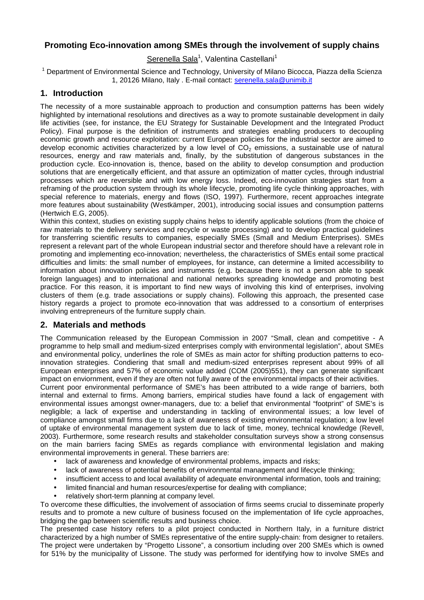# **Promoting Eco-innovation among SMEs through the involvement of supply chains**

Serenella Sala<sup>1</sup>, Valentina Castellani<sup>1</sup>

<sup>1</sup> Department of Environmental Science and Technology, University of Milano Bicocca, Piazza della Scienza 1, 20126 Milano, Italy . E-mail contact: serenella.sala@unimib.it

## **1. Introduction**

The necessity of a more sustainable approach to production and consumption patterns has been widely highlighted by international resolutions and directives as a way to promote sustainable development in daily life activities (see, for instance, the EU Strategy for Sustainable Development and the Integrated Product Policy). Final purpose is the definition of instruments and strategies enabling producers to decoupling economic growth and resource exploitation: current European policies for the industrial sector are aimed to develop economic activities characterized by a low level of  $CO<sub>2</sub>$  emissions, a sustainable use of natural resources, energy and raw materials and, finally, by the substitution of dangerous substances in the production cycle. Eco-innovation is, thence, based on the ability to develop consumption and production solutions that are energetically efficient, and that assure an optimization of matter cycles, through industrial processes which are reversible and with low energy loss. Indeed, eco-innovation strategies start from a reframing of the production system through its whole lifecycle, promoting life cycle thinking approaches, with special reference to materials, energy and flows (ISO, 1997). Furthermore, recent approaches integrate more features about sustainability (Westkämper, 2001), introducing social issues and consumption patterns (Hertwich E.G, 2005).

Within this context, studies on existing supply chains helps to identify applicable solutions (from the choice of raw materials to the delivery services and recycle or waste processing) and to develop practical guidelines for transferring scientific results to companies, especially SMEs (Small and Medium Enterprises). SMEs represent a relevant part of the whole European industrial sector and therefore should have a relevant role in promoting and implementing eco-innovation; nevertheless, the characteristics of SMEs entail some practical difficulties and limits: the small number of employees, for instance, can determine a limited accessibility to information about innovation policies and instruments (e.g. because there is not a person able to speak foreign languages) and to international and national networks spreading knowledge and promoting best practice. For this reason, it is important to find new ways of involving this kind of enterprises, involving clusters of them (e.g. trade associations or supply chains). Following this approach, the presented case history regards a project to promote eco-innovation that was addressed to a consortium of enterprises involving entrepreneurs of the furniture supply chain.

### **2. Materials and methods**

The Communication released by the European Commission in 2007 "Small, clean and competitive - A programme to help small and medium-sized enterprises comply with environmental legislation", about SMEs and environmental policy, underlines the role of SMEs as main actor for shifting production patterns to ecoinnovation strategies. Condiering that small and medium-sized enterprises represent about 99% of all European enterprises and 57% of economic value added (COM (2005)551), they can generate significant impact on enviornment, even if they are often not fully aware of the environmental impacts of their activities.

Current poor environmental performance of SME's has been attributed to a wide range of barriers, both internal and external to firms. Among barriers, empirical studies have found a lack of engagement with environmental issues amongst owner-managers, due to: a belief that environmental "footprint" of SME's is negligible; a lack of expertise and understanding in tackling of environmental issues; a low level of compliance amongst small firms due to a lack of awareness of existing environmental regulation; a low level of uptake of environmental management system due to lack of time, money, technical knowledge (Revell, 2003). Furthermore, some research results and stakeholder consultation surveys show a strong consensus on the main barriers facing SMEs as regards compliance with environmental legislation and making environmental improvements in general. These barriers are:

- lack of awareness and knowledge of environmental problems, impacts and risks;
- lack of awareness of potential benefits of environmental management and lifecycle thinking;
- insufficient access to and local availability of adequate environmental information, tools and training;
- limited financial and human resources/expertise for dealing with compliance;
- relatively short-term planning at company level.

To overcome these difficulties, the involvement of association of firms seems crucial to disseminate properly results and to promote a new culture of business focused on the implementation of life cycle approaches, bridging the gap between scientific results and business choice.

The presented case history refers to a pilot project conducted in Northern Italy, in a furniture district characterized by a high number of SMEs representative of the entire supply-chain: from designer to retailers. The project were undertaken by "Progetto Lissone", a consortium including over 200 SMEs which is owned for 51% by the municipality of Lissone. The study was performed for identifying how to involve SMEs and